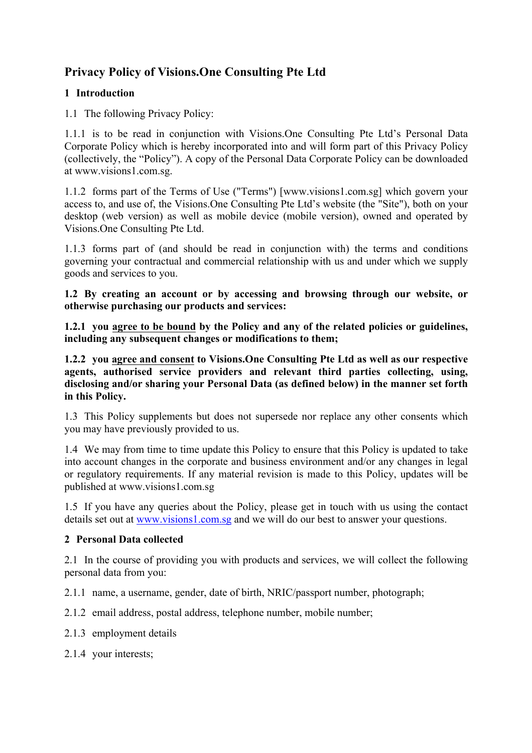# **Privacy Policy of Visions.One Consulting Pte Ltd**

# **1 Introduction**

1.1 The following Privacy Policy:

1.1.1 is to be read in conjunction with Visions.One Consulting Pte Ltd's Personal Data Corporate Policy which is hereby incorporated into and will form part of this Privacy Policy (collectively, the "Policy"). A copy of the Personal Data Corporate Policy can be downloaded at www.visions1.com.sg.

1.1.2 forms part of the Terms of Use ("Terms") [www.visions1.com.sg] which govern your access to, and use of, the Visions.One Consulting Pte Ltd's website (the "Site"), both on your desktop (web version) as well as mobile device (mobile version), owned and operated by Visions.One Consulting Pte Ltd.

1.1.3 forms part of (and should be read in conjunction with) the terms and conditions governing your contractual and commercial relationship with us and under which we supply goods and services to you.

**1.2 By creating an account or by accessing and browsing through our website, or otherwise purchasing our products and services:**

**1.2.1 you agree to be bound by the Policy and any of the related policies or guidelines, including any subsequent changes or modifications to them;** 

**1.2.2 you agree and consent to Visions.One Consulting Pte Ltd as well as our respective agents, authorised service providers and relevant third parties collecting, using, disclosing and/or sharing your Personal Data (as defined below) in the manner set forth in this Policy.** 

1.3 This Policy supplements but does not supersede nor replace any other consents which you may have previously provided to us.

1.4 We may from time to time update this Policy to ensure that this Policy is updated to take into account changes in the corporate and business environment and/or any changes in legal or regulatory requirements. If any material revision is made to this Policy, updates will be published at www.visions1.com.sg

1.5 If you have any queries about the Policy, please get in touch with us using the contact details set out at www.visions1.com.sg and we will do our best to answer your questions.

# **2 Personal Data collected**

2.1 In the course of providing you with products and services, we will collect the following personal data from you:

2.1.1 name, a username, gender, date of birth, NRIC/passport number, photograph;

2.1.2 email address, postal address, telephone number, mobile number;

- 2.1.3 employment details
- 2.1.4 your interests;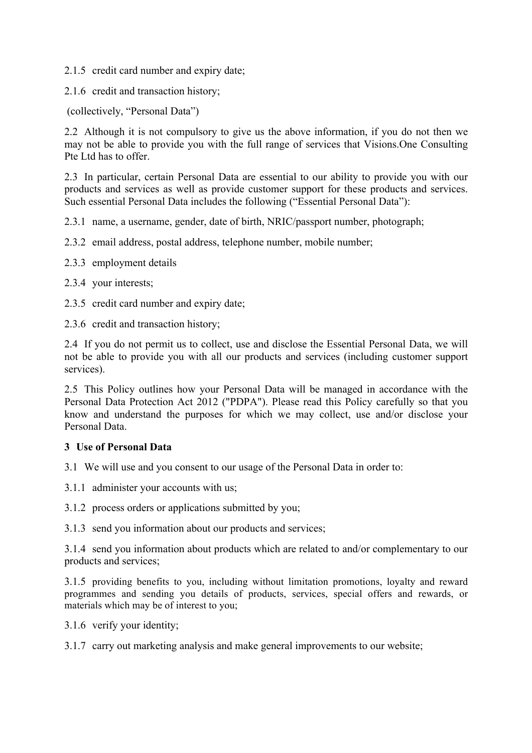2.1.5 credit card number and expiry date;

2.1.6 credit and transaction history;

(collectively, "Personal Data")

2.2 Although it is not compulsory to give us the above information, if you do not then we may not be able to provide you with the full range of services that Visions.One Consulting Pte Ltd has to offer.

2.3 In particular, certain Personal Data are essential to our ability to provide you with our products and services as well as provide customer support for these products and services. Such essential Personal Data includes the following ("Essential Personal Data"):

2.3.1 name, a username, gender, date of birth, NRIC/passport number, photograph;

2.3.2 email address, postal address, telephone number, mobile number;

2.3.3 employment details

2.3.4 your interests;

2.3.5 credit card number and expiry date;

2.3.6 credit and transaction history;

2.4 If you do not permit us to collect, use and disclose the Essential Personal Data, we will not be able to provide you with all our products and services (including customer support services).

2.5 This Policy outlines how your Personal Data will be managed in accordance with the Personal Data Protection Act 2012 ("PDPA"). Please read this Policy carefully so that you know and understand the purposes for which we may collect, use and/or disclose your Personal Data.

#### **3 Use of Personal Data**

3.1 We will use and you consent to our usage of the Personal Data in order to:

3.1.1 administer your accounts with us;

3.1.2 process orders or applications submitted by you;

3.1.3 send you information about our products and services;

3.1.4 send you information about products which are related to and/or complementary to our products and services;

3.1.5 providing benefits to you, including without limitation promotions, loyalty and reward programmes and sending you details of products, services, special offers and rewards, or materials which may be of interest to you;

3.1.6 verify your identity;

3.1.7 carry out marketing analysis and make general improvements to our website;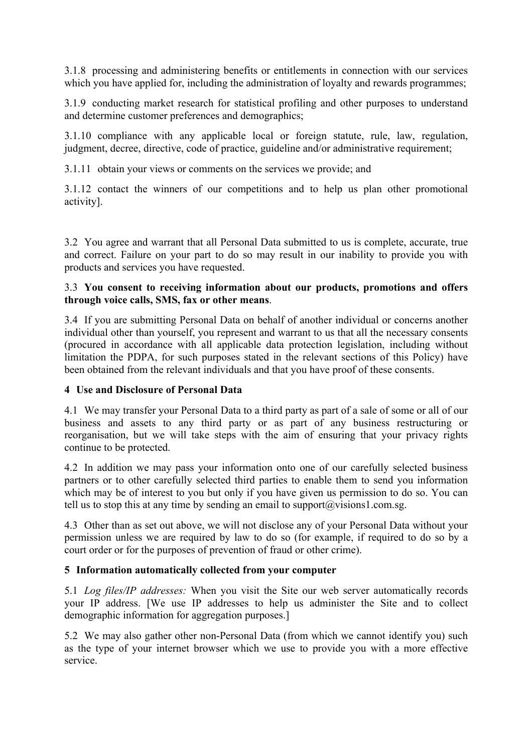3.1.8 processing and administering benefits or entitlements in connection with our services which you have applied for, including the administration of loyalty and rewards programmes;

3.1.9 conducting market research for statistical profiling and other purposes to understand and determine customer preferences and demographics;

3.1.10 compliance with any applicable local or foreign statute, rule, law, regulation, judgment, decree, directive, code of practice, guideline and/or administrative requirement;

3.1.11 obtain your views or comments on the services we provide; and

3.1.12 contact the winners of our competitions and to help us plan other promotional activity].

3.2 You agree and warrant that all Personal Data submitted to us is complete, accurate, true and correct. Failure on your part to do so may result in our inability to provide you with products and services you have requested.

#### 3.3 **You consent to receiving information about our products, promotions and offers through voice calls, SMS, fax or other means**.

3.4 If you are submitting Personal Data on behalf of another individual or concerns another individual other than yourself, you represent and warrant to us that all the necessary consents (procured in accordance with all applicable data protection legislation, including without limitation the PDPA, for such purposes stated in the relevant sections of this Policy) have been obtained from the relevant individuals and that you have proof of these consents.

## **4 Use and Disclosure of Personal Data**

4.1 We may transfer your Personal Data to a third party as part of a sale of some or all of our business and assets to any third party or as part of any business restructuring or reorganisation, but we will take steps with the aim of ensuring that your privacy rights continue to be protected.

4.2 In addition we may pass your information onto one of our carefully selected business partners or to other carefully selected third parties to enable them to send you information which may be of interest to you but only if you have given us permission to do so. You can tell us to stop this at any time by sending an email to support $(a$ visions1.com.sg.

4.3 Other than as set out above, we will not disclose any of your Personal Data without your permission unless we are required by law to do so (for example, if required to do so by a court order or for the purposes of prevention of fraud or other crime).

## **5 Information automatically collected from your computer**

5.1 *Log files/IP addresses:* When you visit the Site our web server automatically records your IP address. [We use IP addresses to help us administer the Site and to collect demographic information for aggregation purposes.]

5.2 We may also gather other non-Personal Data (from which we cannot identify you) such as the type of your internet browser which we use to provide you with a more effective service.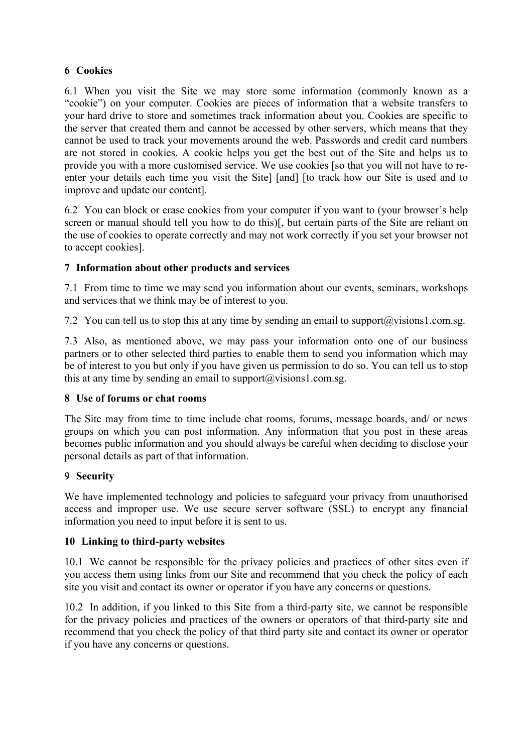## **6 Cookies**

6.1 When you visit the Site we may store some information (commonly known as a "cookie") on your computer. Cookies are pieces of information that a website transfers to your hard drive to store and sometimes track information about you. Cookies are specific to the server that created them and cannot be accessed by other servers, which means that they cannot be used to track your movements around the web. Passwords and credit card numbers are not stored in cookies. A cookie helps you get the best out of the Site and helps us to provide you with a more customised service. We use cookies [so that you will not have to reenter your details each time you visit the Site] [and] [to track how our Site is used and to improve and update our content].

6.2 You can block or erase cookies from your computer if you want to (your browser's help screen or manual should tell you how to do this)[, but certain parts of the Site are reliant on the use of cookies to operate correctly and may not work correctly if you set your browser not to accept cookies].

## **7 Information about other products and services**

7.1 From time to time we may send you information about our events, seminars, workshops and services that we think may be of interest to you.

7.2 You can tell us to stop this at any time by sending an email to support@visions1.com.sg.

7.3 Also, as mentioned above, we may pass your information onto one of our business partners or to other selected third parties to enable them to send you information which may be of interest to you but only if you have given us permission to do so. You can tell us to stop this at any time by sending an email to support $(a$  visions 1.com.sg.

## **8 Use of forums or chat rooms**

The Site may from time to time include chat rooms, forums, message boards, and/ or news groups on which you can post information. Any information that you post in these areas becomes public information and you should always be careful when deciding to disclose your personal details as part of that information.

## **9 Security**

We have implemented technology and policies to safeguard your privacy from unauthorised access and improper use. We use secure server software (SSL) to encrypt any financial information you need to input before it is sent to us.

## **10 Linking to third-party websites**

10.1 We cannot be responsible for the privacy policies and practices of other sites even if you access them using links from our Site and recommend that you check the policy of each site you visit and contact its owner or operator if you have any concerns or questions.

10.2 In addition, if you linked to this Site from a third-party site, we cannot be responsible for the privacy policies and practices of the owners or operators of that third-party site and recommend that you check the policy of that third party site and contact its owner or operator if you have any concerns or questions.